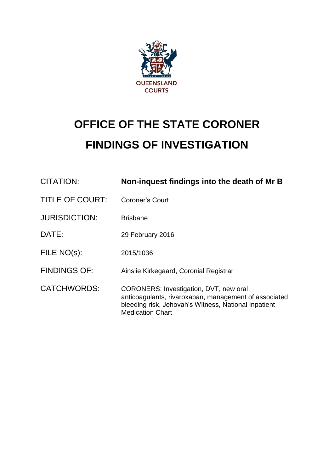

# **OFFICE OF THE STATE CORONER FINDINGS OF INVESTIGATION**

| <b>CITATION:</b>       | Non-inquest findings into the death of Mr B                                                                                                                                        |
|------------------------|------------------------------------------------------------------------------------------------------------------------------------------------------------------------------------|
| <b>TITLE OF COURT:</b> | <b>Coroner's Court</b>                                                                                                                                                             |
| <b>JURISDICTION:</b>   | <b>Brisbane</b>                                                                                                                                                                    |
| DATE:                  | 29 February 2016                                                                                                                                                                   |
| FILE NO(s):            | 2015/1036                                                                                                                                                                          |
| <b>FINDINGS OF:</b>    | Ainslie Kirkegaard, Coronial Registrar                                                                                                                                             |
| <b>CATCHWORDS:</b>     | CORONERS: Investigation, DVT, new oral<br>anticoagulants, rivaroxaban, management of associated<br>bleeding risk, Jehovah's Witness, National Inpatient<br><b>Medication Chart</b> |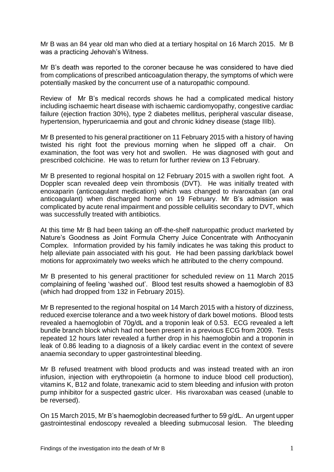Mr B was an 84 year old man who died at a tertiary hospital on 16 March 2015. Mr B was a practicing Jehovah's Witness.

Mr B's death was reported to the coroner because he was considered to have died from complications of prescribed anticoagulation therapy, the symptoms of which were potentially masked by the concurrent use of a naturopathic compound.

Review of Mr B's medical records shows he had a complicated medical history including ischaemic heart disease with ischaemic cardiomyopathy, congestive cardiac failure (ejection fraction 30%), type 2 diabetes mellitus, peripheral vascular disease, hypertension, hyperuricaemia and gout and chronic kidney disease (stage IIIb).

Mr B presented to his general practitioner on 11 February 2015 with a history of having twisted his right foot the previous morning when he slipped off a chair. On examination, the foot was very hot and swollen. He was diagnosed with gout and prescribed colchicine. He was to return for further review on 13 February.

Mr B presented to regional hospital on 12 February 2015 with a swollen right foot. A Doppler scan revealed deep vein thrombosis (DVT). He was initially treated with enoxaparin (anticoagulant medication) which was changed to rivaroxaban (an oral anticoagulant) when discharged home on 19 February. Mr B's admission was complicated by acute renal impairment and possible cellulitis secondary to DVT, which was successfully treated with antibiotics.

At this time Mr B had been taking an off-the-shelf naturopathic product marketed by Nature's Goodness as Joint Formula Cherry Juice Concentrate with Anthocyanin Complex. Information provided by his family indicates he was taking this product to help alleviate pain associated with his gout. He had been passing dark/black bowel motions for approximately two weeks which he attributed to the cherry compound.

Mr B presented to his general practitioner for scheduled review on 11 March 2015 complaining of feeling 'washed out'. Blood test results showed a haemoglobin of 83 (which had dropped from 132 in February 2015).

Mr B represented to the regional hospital on 14 March 2015 with a history of dizziness, reduced exercise tolerance and a two week history of dark bowel motions. Blood tests revealed a haemoglobin of 70g/dL and a troponin leak of 0.53. ECG revealed a left bundle branch block which had not been present in a previous ECG from 2009. Tests repeated 12 hours later revealed a further drop in his haemoglobin and a troponin in leak of 0.86 leading to a diagnosis of a likely cardiac event in the context of severe anaemia secondary to upper gastrointestinal bleeding.

Mr B refused treatment with blood products and was instead treated with an iron infusion, injection with erythropoietin (a hormone to induce blood cell production), vitamins K, B12 and folate, tranexamic acid to stem bleeding and infusion with proton pump inhibitor for a suspected gastric ulcer. His rivaroxaban was ceased (unable to be reversed).

On 15 March 2015, Mr B's haemoglobin decreased further to 59 g/dL. An urgent upper gastrointestinal endoscopy revealed a bleeding submucosal lesion. The bleeding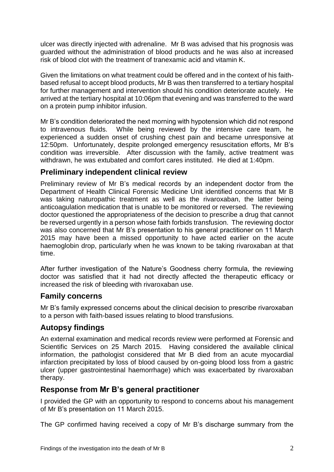ulcer was directly injected with adrenaline. Mr B was advised that his prognosis was guarded without the administration of blood products and he was also at increased risk of blood clot with the treatment of tranexamic acid and vitamin K.

Given the limitations on what treatment could be offered and in the context of his faithbased refusal to accept blood products, Mr B was then transferred to a tertiary hospital for further management and intervention should his condition deteriorate acutely. He arrived at the tertiary hospital at 10:06pm that evening and was transferred to the ward on a protein pump inhibitor infusion.

Mr B's condition deteriorated the next morning with hypotension which did not respond to intravenous fluids. While being reviewed by the intensive care team, he experienced a sudden onset of crushing chest pain and became unresponsive at 12:50pm. Unfortunately, despite prolonged emergency resuscitation efforts, Mr B's condition was irreversible. After discussion with the family, active treatment was withdrawn, he was extubated and comfort cares instituted. He died at 1:40pm.

# **Preliminary independent clinical review**

Preliminary review of Mr B's medical records by an independent doctor from the Department of Health Clinical Forensic Medicine Unit identified concerns that Mr B was taking naturopathic treatment as well as the rivaroxaban, the latter being anticoagulation medication that is unable to be monitored or reversed. The reviewing doctor questioned the appropriateness of the decision to prescribe a drug that cannot be reversed urgently in a person whose faith forbids transfusion. The reviewing doctor was also concerned that Mr B's presentation to his general practitioner on 11 March 2015 may have been a missed opportunity to have acted earlier on the acute haemoglobin drop, particularly when he was known to be taking rivaroxaban at that time.

After further investigation of the Nature's Goodness cherry formula, the reviewing doctor was satisfied that it had not directly affected the therapeutic efficacy or increased the risk of bleeding with rivaroxaban use.

## **Family concerns**

Mr B's family expressed concerns about the clinical decision to prescribe rivaroxaban to a person with faith-based issues relating to blood transfusions.

# **Autopsy findings**

An external examination and medical records review were performed at Forensic and Scientific Services on 25 March 2015. Having considered the available clinical information, the pathologist considered that Mr B died from an acute myocardial infarction precipitated by loss of blood caused by on-going blood loss from a gastric ulcer (upper gastrointestinal haemorrhage) which was exacerbated by rivaroxaban therapy.

# **Response from Mr B's general practitioner**

I provided the GP with an opportunity to respond to concerns about his management of Mr B's presentation on 11 March 2015.

The GP confirmed having received a copy of Mr B's discharge summary from the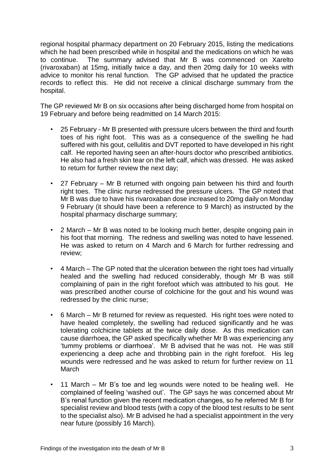regional hospital pharmacy department on 20 February 2015, listing the medications which he had been prescribed while in hospital and the medications on which he was to continue. The summary advised that Mr B was commenced on Xarelto (rivaroxaban) at 15mg, initially twice a day, and then 20mg daily for 10 weeks with advice to monitor his renal function. The GP advised that he updated the practice records to reflect this. He did not receive a clinical discharge summary from the hospital.

The GP reviewed Mr B on six occasions after being discharged home from hospital on 19 February and before being readmitted on 14 March 2015:

- 25 February Mr B presented with pressure ulcers between the third and fourth toes of his right foot. This was as a consequence of the swelling he had suffered with his gout, cellulitis and DVT reported to have developed in his right calf. He reported having seen an after-hours doctor who prescribed antibiotics. He also had a fresh skin tear on the left calf, which was dressed. He was asked to return for further review the next day;
- 27 February Mr B returned with ongoing pain between his third and fourth right toes. The clinic nurse redressed the pressure ulcers. The GP noted that Mr B was due to have his rivaroxaban dose increased to 20mg daily on Monday 9 February (it should have been a reference to 9 March) as instructed by the hospital pharmacy discharge summary;
- 2 March Mr B was noted to be looking much better, despite ongoing pain in his foot that morning. The redness and swelling was noted to have lessened. He was asked to return on 4 March and 6 March for further redressing and review;
- 4 March The GP noted that the ulceration between the right toes had virtually healed and the swelling had reduced considerably, though Mr B was still complaining of pain in the right forefoot which was attributed to his gout. He was prescribed another course of colchicine for the gout and his wound was redressed by the clinic nurse;
- 6 March Mr B returned for review as requested. His right toes were noted to have healed completely, the swelling had reduced significantly and he was tolerating colchicine tablets at the twice daily dose. As this medication can cause diarrhoea, the GP asked specifically whether Mr B was experiencing any 'tummy problems or diarrhoea'. Mr B advised that he was not. He was still experiencing a deep ache and throbbing pain in the right forefoot. His leg wounds were redressed and he was asked to return for further review on 11 March
- 11 March Mr B's toe and leg wounds were noted to be healing well. He complained of feeling 'washed out'. The GP says he was concerned about Mr B's renal function given the recent medication changes, so he referred Mr B for specialist review and blood tests (with a copy of the blood test results to be sent to the specialist also). Mr B advised he had a specialist appointment in the very near future (possibly 16 March).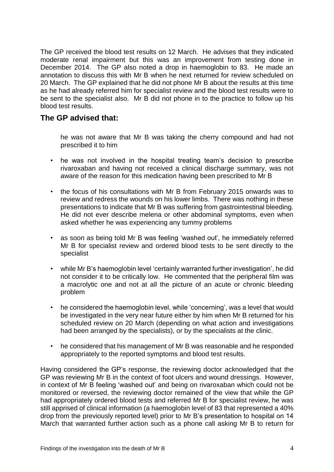The GP received the blood test results on 12 March. He advises that they indicated moderate renal impairment but this was an improvement from testing done in December 2014. The GP also noted a drop in haemoglobin to 83. He made an annotation to discuss this with Mr B when he next returned for review scheduled on 20 March. The GP explained that he did not phone Mr B about the results at this time as he had already referred him for specialist review and the blood test results were to be sent to the specialist also. Mr B did not phone in to the practice to follow up his blood test results.

#### **The GP advised that:**

he was not aware that Mr B was taking the cherry compound and had not prescribed it to him

- he was not involved in the hospital treating team's decision to prescribe rivaroxaban and having not received a clinical discharge summary, was not aware of the reason for this medication having been prescribed to Mr B
- the focus of his consultations with Mr B from February 2015 onwards was to review and redress the wounds on his lower limbs. There was nothing in these presentations to indicate that Mr B was suffering from gastrointestinal bleeding. He did not ever describe melena or other abdominal symptoms, even when asked whether he was experiencing any tummy problems
- as soon as being told Mr B was feeling 'washed out', he immediately referred Mr B for specialist review and ordered blood tests to be sent directly to the specialist
- while Mr B's haemoglobin level 'certainly warranted further investigation', he did not consider it to be critically low. He commented that the peripheral film was a macrolytic one and not at all the picture of an acute or chronic bleeding problem
- he considered the haemoglobin level, while 'concerning', was a level that would be investigated in the very near future either by him when Mr B returned for his scheduled review on 20 March (depending on what action and investigations had been arranged by the specialists), or by the specialists at the clinic.
- he considered that his management of Mr B was reasonable and he responded appropriately to the reported symptoms and blood test results.

Having considered the GP's response, the reviewing doctor acknowledged that the GP was reviewing Mr B in the context of foot ulcers and wound dressings. However, in context of Mr B feeling 'washed out' and being on rivaroxaban which could not be monitored or reversed, the reviewing doctor remained of the view that while the GP had appropriately ordered blood tests and referred Mr B for specialist review, he was still apprised of clinical information (a haemoglobin level of 83 that represented a 40% drop from the previously reported level) prior to Mr B's presentation to hospital on 14 March that warranted further action such as a phone call asking Mr B to return for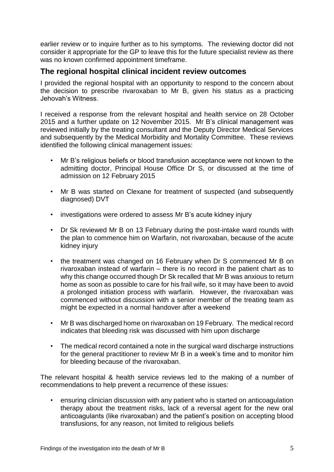earlier review or to inquire further as to his symptoms. The reviewing doctor did not consider it appropriate for the GP to leave this for the future specialist review as there was no known confirmed appointment timeframe.

## **The regional hospital clinical incident review outcomes**

I provided the regional hospital with an opportunity to respond to the concern about the decision to prescribe rivaroxaban to Mr B, given his status as a practicing Jehovah's Witness.

I received a response from the relevant hospital and health service on 28 October 2015 and a further update on 12 November 2015. Mr B's clinical management was reviewed initially by the treating consultant and the Deputy Director Medical Services and subsequently by the Medical Morbidity and Mortality Committee. These reviews identified the following clinical management issues:

- Mr B's religious beliefs or blood transfusion acceptance were not known to the admitting doctor, Principal House Office Dr S, or discussed at the time of admission on 12 February 2015
- Mr B was started on Clexane for treatment of suspected (and subsequently diagnosed) DVT
- investigations were ordered to assess Mr B's acute kidney injury
- Dr Sk reviewed Mr B on 13 February during the post-intake ward rounds with the plan to commence him on Warfarin, not rivaroxaban, because of the acute kidney injury
- the treatment was changed on 16 February when Dr S commenced Mr B on rivaroxaban instead of warfarin – there is no record in the patient chart as to why this change occurred though Dr Sk recalled that Mr B was anxious to return home as soon as possible to care for his frail wife, so it may have been to avoid a prolonged initiation process with warfarin. However, the rivaroxaban was commenced without discussion with a senior member of the treating team as might be expected in a normal handover after a weekend
- Mr B was discharged home on rivaroxaban on 19 February. The medical record indicates that bleeding risk was discussed with him upon discharge
- The medical record contained a note in the surgical ward discharge instructions for the general practitioner to review Mr B in a week's time and to monitor him for bleeding because of the rivaroxaban.

The relevant hospital & health service reviews led to the making of a number of recommendations to help prevent a recurrence of these issues:

• ensuring clinician discussion with any patient who is started on anticoagulation therapy about the treatment risks, lack of a reversal agent for the new oral anticoagulants (like rivaroxaban) and the patient's position on accepting blood transfusions, for any reason, not limited to religious beliefs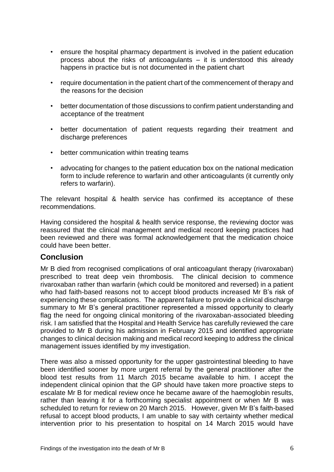- ensure the hospital pharmacy department is involved in the patient education process about the risks of anticoagulants – it is understood this already happens in practice but is not documented in the patient chart
- require documentation in the patient chart of the commencement of therapy and the reasons for the decision
- better documentation of those discussions to confirm patient understanding and acceptance of the treatment
- better documentation of patient requests regarding their treatment and discharge preferences
- better communication within treating teams
- advocating for changes to the patient education box on the national medication form to include reference to warfarin and other anticoagulants (it currently only refers to warfarin).

The relevant hospital & health service has confirmed its acceptance of these recommendations.

Having considered the hospital & health service response, the reviewing doctor was reassured that the clinical management and medical record keeping practices had been reviewed and there was formal acknowledgement that the medication choice could have been better.

## **Conclusion**

Mr B died from recognised complications of oral anticoagulant therapy (rivaroxaban) prescribed to treat deep vein thrombosis. The clinical decision to commence rivaroxaban rather than warfarin (which could be monitored and reversed) in a patient who had faith-based reasons not to accept blood products increased Mr B's risk of experiencing these complications. The apparent failure to provide a clinical discharge summary to Mr B's general practitioner represented a missed opportunity to clearly flag the need for ongoing clinical monitoring of the rivaroxaban-associated bleeding risk. I am satisfied that the Hospital and Health Service has carefully reviewed the care provided to Mr B during his admission in February 2015 and identified appropriate changes to clinical decision making and medical record keeping to address the clinical management issues identified by my investigation.

There was also a missed opportunity for the upper gastrointestinal bleeding to have been identified sooner by more urgent referral by the general practitioner after the blood test results from 11 March 2015 became available to him. I accept the independent clinical opinion that the GP should have taken more proactive steps to escalate Mr B for medical review once he became aware of the haemoglobin results, rather than leaving it for a forthcoming specialist appointment or when Mr B was scheduled to return for review on 20 March 2015. However, given Mr B's faith-based refusal to accept blood products, I am unable to say with certainty whether medical intervention prior to his presentation to hospital on 14 March 2015 would have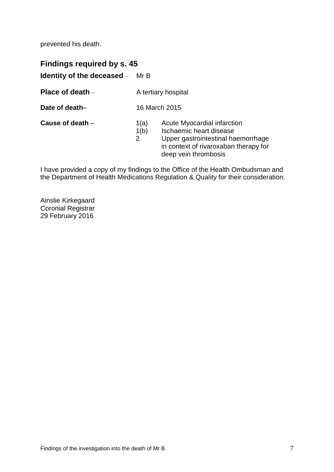prevented his death.

**Findings required by s. 45 Identity of the deceased** – Mr B

**Place of death** – **A tertiary hospital** 

**Date of death–** 16 March 2015

- **Cause of death** 1(a) Acute Myocardial infarction
	- 1(b) Ischaemic heart disease<br>2 Upper gastrointestinal ha
		- Upper gastrointestinal haemorrhage in context of rivaroxaban therapy for deep vein thrombosis

I have provided a copy of my findings to the Office of the Health Ombudsman and the Department of Health Medications Regulation & Quality for their consideration.

Ainslie Kirkegaard Coronial Registrar 29 February 2016